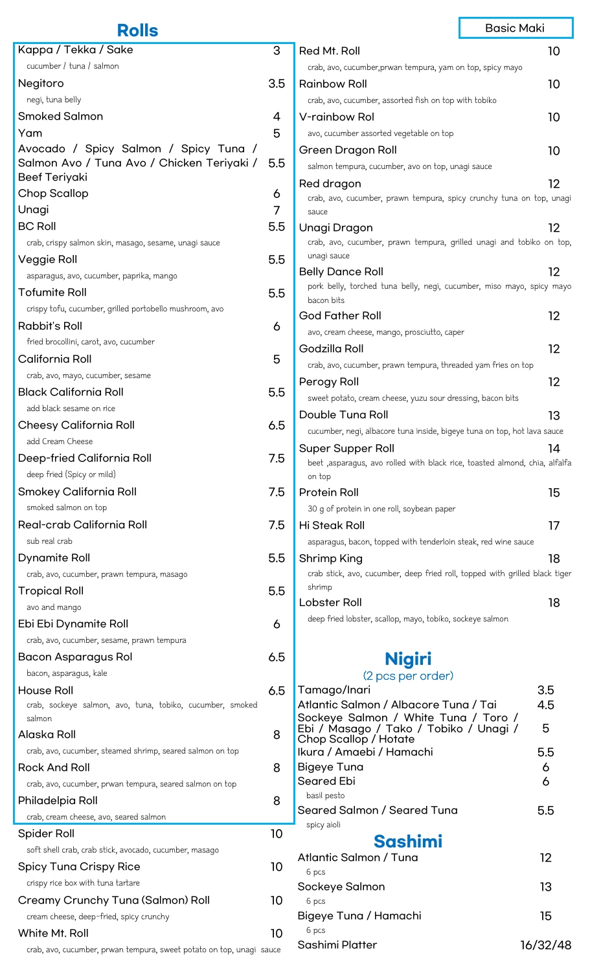|                                                             | <b>Rolls</b>                                              | <b>Basic Maki</b>                                                                                |                                                                                     |     |    |
|-------------------------------------------------------------|-----------------------------------------------------------|--------------------------------------------------------------------------------------------------|-------------------------------------------------------------------------------------|-----|----|
|                                                             | Kappa / Tekka / Sake                                      | 3                                                                                                | Red Mt. Roll                                                                        |     | 10 |
|                                                             | cucumber / tuna / salmon                                  |                                                                                                  | crab, avo, cucumber, prwan tempura, yam on top, spicy mayo                          |     |    |
|                                                             | Negitoro                                                  | 3.5                                                                                              | <b>Rainbow Roll</b>                                                                 |     | 10 |
|                                                             | negi, tuna belly                                          |                                                                                                  | crab, avo, cucumber, assorted fish on top with tobiko                               |     |    |
|                                                             | <b>Smoked Salmon</b>                                      | 4                                                                                                | V-rainbow Rol                                                                       |     | 10 |
|                                                             | Yam                                                       | 5                                                                                                | avo, cucumber assorted vegetable on top                                             |     |    |
|                                                             | Avocado / Spicy Salmon / Spicy Tuna /                     |                                                                                                  | Green Dragon Roll                                                                   |     | 10 |
|                                                             | Salmon Avo / Tuna Avo / Chicken Teriyaki /                | 5.5                                                                                              | salmon tempura, cucumber, avo on top, unagi sauce                                   |     |    |
|                                                             | <b>Beef Teriyaki</b>                                      |                                                                                                  | Red dragon                                                                          |     | 12 |
|                                                             | <b>Chop Scallop</b>                                       | 6                                                                                                | crab, avo, cucumber, prawn tempura, spicy crunchy tuna on top, unagi                |     |    |
|                                                             | Unagi                                                     | 7                                                                                                | sauce                                                                               |     |    |
|                                                             | <b>BC Roll</b>                                            | 5.5                                                                                              | Unagi Dragon                                                                        |     | 12 |
|                                                             | crab, crispy salmon skin, masago, sesame, unagi sauce     |                                                                                                  | crab, avo, cucumber, prawn tempura, grilled unagi and tobiko on top,<br>unagi sauce |     |    |
|                                                             | Veggie Roll                                               | 5.5                                                                                              | <b>Belly Dance Roll</b>                                                             |     | 12 |
|                                                             | asparagus, avo, cucumber, paprika, mango                  |                                                                                                  | pork belly, torched tuna belly, negi, cucumber, miso mayo, spicy mayo               |     |    |
|                                                             | <b>Tofumite Roll</b>                                      | 5.5                                                                                              | bacon bits                                                                          |     |    |
|                                                             | crispy tofu, cucumber, grilled portobello mushroom, avo   |                                                                                                  | <b>God Father Roll</b>                                                              |     | 12 |
|                                                             | <b>Rabbit's Roll</b>                                      | 6                                                                                                | avo, cream cheese, mango, prosciutto, caper                                         |     |    |
|                                                             | fried brocollini, carot, avo, cucumber                    |                                                                                                  | Godzilla Roll                                                                       |     | 12 |
|                                                             | California Roll                                           | 5                                                                                                | crab, avo, cucumber, prawn tempura, threaded yam fries on top                       |     |    |
|                                                             | crab, avo, mayo, cucumber, sesame                         |                                                                                                  | Perogy Roll                                                                         |     | 12 |
|                                                             | <b>Black California Roll</b>                              | 5.5                                                                                              | sweet potato, cream cheese, yuzu sour dressing, bacon bits                          |     |    |
|                                                             | add black sesame on rice                                  |                                                                                                  | Double Tuna Roll                                                                    |     | 13 |
|                                                             | <b>Cheesy California Roll</b>                             | 6.5                                                                                              | cucumber, negi, albacore tuna inside, bigeye tuna on top, hot lava sauce            |     |    |
|                                                             | add Cream Cheese                                          |                                                                                                  | <b>Super Supper Roll</b>                                                            |     | 14 |
|                                                             | Deep-fried California Roll                                | 7.5                                                                                              | beet ,asparagus, avo rolled with black rice, toasted almond, chia, alfalfa          |     |    |
|                                                             | deep fried (Spicy or mild)                                |                                                                                                  | on top                                                                              |     |    |
|                                                             | Smokey California Roll<br>smoked salmon on top            | 7.5                                                                                              | <b>Protein Roll</b><br>30 g of protein in one roll, soybean paper                   |     | 15 |
|                                                             | Real-crab California Roll                                 | 7.5                                                                                              | Hi Steak Roll                                                                       |     |    |
|                                                             | sub real crab                                             |                                                                                                  | asparagus, bacon, topped with tenderloin steak, red wine sauce                      |     | 17 |
|                                                             |                                                           | 5.5                                                                                              |                                                                                     |     |    |
| Dynamite Roll<br>crab, avo, cucumber, prawn tempura, masago |                                                           | 18<br>Shrimp King<br>crab stick, avo, cucumber, deep fried roll, topped with grilled black tiger |                                                                                     |     |    |
|                                                             | Tropical Roll                                             | 5.5                                                                                              | shrimp                                                                              |     |    |
|                                                             | avo and mango                                             |                                                                                                  | Lobster Roll                                                                        |     | 18 |
|                                                             | Ebi Ebi Dynamite Roll                                     | 6                                                                                                | deep fried lobster, scallop, mayo, tobiko, sockeye salmon                           |     |    |
|                                                             | crab, avo, cucumber, sesame, prawn tempura                |                                                                                                  |                                                                                     |     |    |
|                                                             | Bacon Asparagus Rol                                       | 6.5                                                                                              |                                                                                     |     |    |
|                                                             | bacon, asparagus, kale                                    |                                                                                                  | <b>Nigiri</b><br>(2 pcs per order)                                                  |     |    |
|                                                             | <b>House Roll</b>                                         | 6.5                                                                                              | Tamago/Inari                                                                        | 3.5 |    |
|                                                             | crab, sockeye salmon, avo, tuna, tobiko, cucumber, smoked |                                                                                                  | Atlantic Salmon / Albacore Tuna / Tai                                               | 4.5 |    |
|                                                             | salmon                                                    |                                                                                                  | Sockeye Salmon / White Tuna / Toro /                                                | 5   |    |
|                                                             | Alaska Roll                                               | 8                                                                                                | Ebi / Masago / Tako / Tobiko / Unagi /<br>Chop Scallop / Hotate                     |     |    |
|                                                             | crab, avo, cucumber, steamed shrimp, seared salmon on top |                                                                                                  | Ikura / Amaebi / Hamachi                                                            | 5.5 |    |
|                                                             | <b>Rock And Roll</b>                                      | 8                                                                                                | <b>Bigeye Tuna</b>                                                                  | 6   |    |
|                                                             | crab, avo, cucumber, prwan tempura, seared salmon on top  |                                                                                                  | <b>Seared Ebi</b><br>basil pesto                                                    | 6   |    |
|                                                             | Philadelpia Roll                                          | 8                                                                                                | Seared Salmon / Seared Tuna                                                         | 5.5 |    |
|                                                             | crab, cream cheese, avo, seared salmon                    |                                                                                                  | spicy aioli                                                                         |     |    |
|                                                             | <b>Spider Roll</b>                                        | 10                                                                                               | <b>Sashimi</b>                                                                      |     |    |
|                                                             | soft shell crab, crab stick, avocado, cucumber, masago    |                                                                                                  | Atlantic Salmon / Tuna                                                              | 12  |    |
|                                                             | <b>Spicy Tuna Crispy Rice</b>                             | 10                                                                                               | 6 pcs                                                                               |     |    |
|                                                             | crispy rice box with tuna tartare                         |                                                                                                  | Sockeye Salmon                                                                      | 13  |    |
|                                                             | Creamy Crunchy Tuna (Salmon) Roll                         | 10                                                                                               | 6 pcs                                                                               |     |    |
|                                                             | cream cheese, deep-fried, spicy crunchy                   |                                                                                                  | Bigeye Tuna / Hamachi<br>6 pcs                                                      | 15  |    |
|                                                             | White Mt. Roll                                            | 10                                                                                               |                                                                                     |     |    |

crab, avo, cucumber, prwan tempura, sweet potato on top, unagi sauce

Sashimi Platter 16/32/48